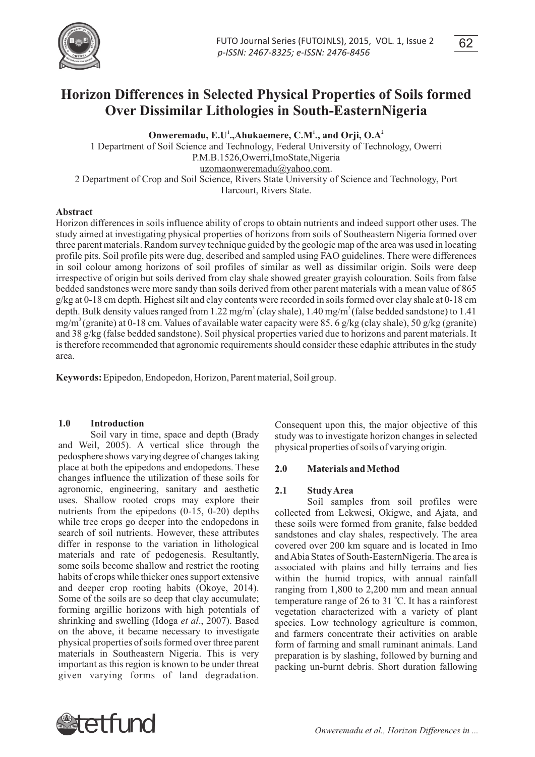

**Horizon Differences in Selected Physical Properties of Soils formed Over Dissimilar Lithologies in South-EasternNigeria**

**2 Onweremadu, E.U<sup>1</sup>, Ahukaemere, C.M<sup>1</sup>, and Orji, O.A<sup>2</sup>** 

1 Department of Soil Science and Technology, Federal University of Technology, Owerri P.M.B.1526,Owerri,ImoState,Nigeria uzomaonweremadu@yahoo.com. 2 Department of Crop and Soil Science, Rivers State University of Science and Technology, Port Harcourt, Rivers State.

## **Abstract**

Horizon differences in soils influence ability of crops to obtain nutrients and indeed support other uses. The study aimed at investigating physical properties of horizons from soils of Southeastern Nigeria formed over three parent materials. Random survey technique guided by the geologic map of the area was used in locating profile pits. Soil profile pits were dug, described and sampled using FAO guidelines. There were differences in soil colour among horizons of soil profiles of similar as well as dissimilar origin. Soils were deep irrespective of origin but soils derived from clay shale showed greater grayish colouration. Soils from false bedded sandstones were more sandy than soils derived from other parent materials with a mean value of 865 g/kg at 0-18 cm depth. Highest silt and clay contents were recorded in soils formed over clay shale at 0-18 cm depth. Bulk density values ranged from 1.22 mg/m<sup>3</sup> (clay shale), 1.40 mg/m<sup>3</sup> (false bedded sandstone) to 1.41  $mg/m<sup>3</sup>$  (granite) at 0-18 cm. Values of available water capacity were 85. 6 g/kg (clay shale), 50 g/kg (granite) and 38 g/kg (false bedded sandstone). Soil physical properties varied due to horizons and parent materials. It is therefore recommended that agronomic requirements should consider these edaphic attributes in the study area.

**Keywords:** Epipedon, Endopedon, Horizon, Parent material, Soil group.

# **1.0 Introduction**

Soil vary in time, space and depth (Brady and Weil, 2005). A vertical slice through the pedosphere shows varying degree of changes taking place at both the epipedons and endopedons. These changes influence the utilization of these soils for agronomic, engineering, sanitary and aesthetic uses. Shallow rooted crops may explore their nutrients from the epipedons (0-15, 0-20) depths while tree crops go deeper into the endopedons in search of soil nutrients. However, these attributes differ in response to the variation in lithological materials and rate of pedogenesis. Resultantly, some soils become shallow and restrict the rooting habits of crops while thicker ones support extensive and deeper crop rooting habits (Okoye, 2014). Some of the soils are so deep that clay accumulate; forming argillic horizons with high potentials of shrinking and swelling (Idoga *et al*., 2007). Based on the above, it became necessary to investigate physical properties of soils formed over three parent materials in Southeastern Nigeria. This is very important as this region is known to be under threat given varying forms of land degradation.

Consequent upon this, the major objective of this study was to investigate horizon changes in selected physical properties of soils of varying origin.

## **2.0 Materials and Method**

## **2.1 Study Area**

Soil samples from soil profiles were collected from Lekwesi, Okigwe, and Ajata, and these soils were formed from granite, false bedded sandstones and clay shales, respectively. The area covered over 200 km square and is located in Imo and Abia States of South-EasternNigeria. The area is associated with plains and hilly terrains and lies within the humid tropics, with annual rainfall ranging from 1,800 to 2,200 mm and mean annual temperature range of 26 to 31 °C. It has a rainforest vegetation characterized with a variety of plant species. Low technology agriculture is common, and farmers concentrate their activities on arable form of farming and small ruminant animals. Land preparation is by slashing, followed by burning and packing un-burnt debris. Short duration fallowing

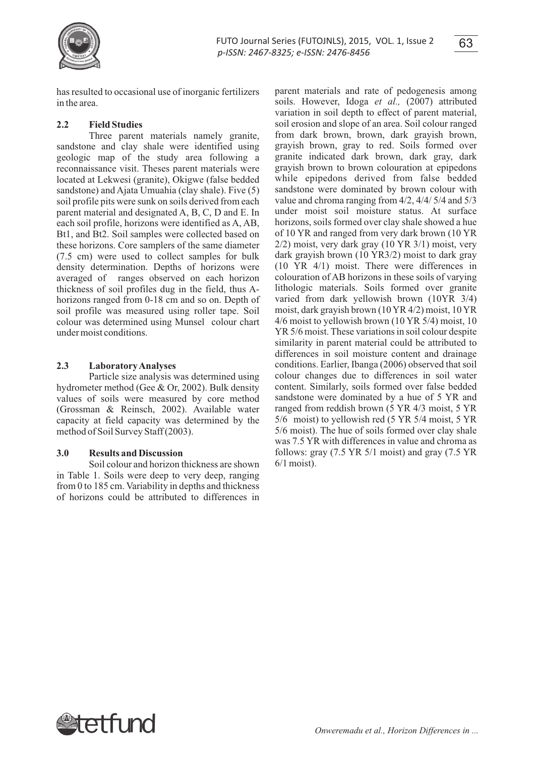

has resulted to occasional use of inorganic fertilizers in the area.

# **2.2 Field Studies**

Three parent materials namely granite, sandstone and clay shale were identified using geologic map of the study area following a reconnaissance visit. Theses parent materials were located at Lekwesi (granite), Okigwe (false bedded sandstone) and Ajata Umuahia (clay shale). Five (5) soil profile pits were sunk on soils derived from each parent material and designated A, B, C, D and E. In each soil profile, horizons were identified as A, AB, Bt1, and Bt2. Soil samples were collected based on these horizons. Core samplers of the same diameter (7.5 cm) were used to collect samples for bulk density determination. Depths of horizons were averaged of ranges observed on each horizon thickness of soil profiles dug in the field, thus Ahorizons ranged from 0-18 cm and so on. Depth of soil profile was measured using roller tape. Soil colour was determined using Munsel colour chart under moist conditions.

# **2.3 Laboratory Analyses**

Particle size analysis was determined using hydrometer method (Gee & Or, 2002). Bulk density values of soils were measured by core method (Grossman & Reinsch, 2002). Available water capacity at field capacity was determined by the method of Soil Survey Staff (2003).

# **3.0 Results and Discussion**

Soil colour and horizon thickness are shown in Table 1. Soils were deep to very deep, ranging from 0 to 185 cm. Variability in depths and thickness of horizons could be attributed to differences in

parent materials and rate of pedogenesis among soils. However, Idoga *et al.,* (2007) attributed variation in soil depth to effect of parent material, soil erosion and slope of an area. Soil colour ranged from dark brown, brown, dark grayish brown, grayish brown, gray to red. Soils formed over granite indicated dark brown, dark gray, dark grayish brown to brown colouration at epipedons while epipedons derived from false bedded sandstone were dominated by brown colour with value and chroma ranging from 4/2, 4/4/ 5/4 and 5/3 under moist soil moisture status. At surface horizons, soils formed over clay shale showed a hue of 10 YR and ranged from very dark brown (10 YR 2/2) moist, very dark gray (10 YR 3/1) moist, very dark grayish brown (10 YR3/2) moist to dark gray (10 YR 4/1) moist. There were differences in colouration of AB horizons in these soils of varying lithologic materials. Soils formed over granite varied from dark yellowish brown (10YR 3/4) moist, dark grayish brown (10 YR 4/2) moist, 10 YR 4/6 moist to yellowish brown (10 YR 5/4) moist, 10 YR 5/6 moist. These variations in soil colour despite similarity in parent material could be attributed to differences in soil moisture content and drainage conditions. Earlier, Ibanga (2006) observed that soil colour changes due to differences in soil water content. Similarly, soils formed over false bedded sandstone were dominated by a hue of 5 YR and ranged from reddish brown (5 YR 4/3 moist, 5 YR 5/6 moist) to yellowish red (5 YR 5/4 moist, 5 YR 5/6 moist). The hue of soils formed over clay shale was 7.5 YR with differences in value and chroma as follows: gray (7.5 YR 5/1 moist) and gray (7.5 YR 6/1 moist).

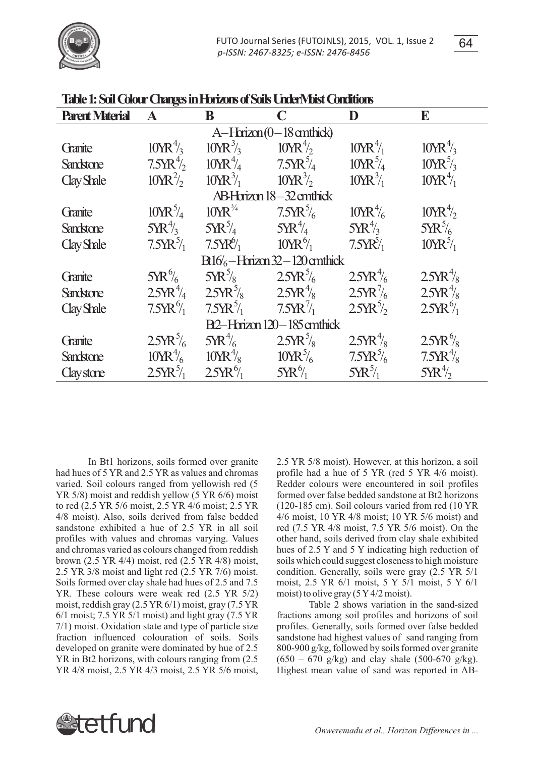

| TAUC 1. SUI CUION CHURGS III LUIZUIS OF SUIS CHREIVER COLUNUS |                                   |                                 |                                   |                             |                                  |  |  |  |  |  |
|---------------------------------------------------------------|-----------------------------------|---------------------------------|-----------------------------------|-----------------------------|----------------------------------|--|--|--|--|--|
| <b>Parent Material</b>                                        | $\mathbf{A}$                      | B                               | $\mathbf C$                       | D                           | E                                |  |  |  |  |  |
| $A-Harizon(0-18$ anthick)                                     |                                   |                                 |                                   |                             |                                  |  |  |  |  |  |
| Granite                                                       | $10MR_{2}^{4}$                    | $10 \text{VR}^3$ / <sub>3</sub> | $10MR^4$                          | $10MR_{1}^{4}$              | $10MR_{3}^{4}$                   |  |  |  |  |  |
| <b>Sandstone</b>                                              | 7.5YR <sup>4</sup> / <sub>2</sub> | $10\text{VR}^4$ /4              | $7.5YR_{4}^{5/4}$                 | $10 \text{VR}^5$ /4         | $10MR^5/3$                       |  |  |  |  |  |
| <b>Clay Shale</b>                                             | $10MR^2/2$                        | $10 \text{Y} \text{R}^3$ /      | $10 \text{Y} \text{R}^3/\text{s}$ | $10 \text{VR}^3$ /1         | $10MR_{1}^{4}$                   |  |  |  |  |  |
|                                                               |                                   |                                 | ABHarizon 18-32 amthick           |                             |                                  |  |  |  |  |  |
| Granite                                                       | $10 \text{VR}^5$ /4               | $10\text{YR}^{3/4}$             | $7.5YR\frac{5}{6}$                | $10MR_{6}^{4}$              | 10MR <sup>4</sup> / <sub>2</sub> |  |  |  |  |  |
| <b>Sandstone</b>                                              | $5{\rm Y}{\rm R}^{4/3}$           | $5YR^5/4$                       | $5YR_{4}^{4/2}$                   | $5{\rm Y}{\rm R}_{2}^{4/3}$ | $5{\rm Y}{\rm R}^5$ /6           |  |  |  |  |  |
| <b>Clay Shale</b>                                             | $7.5YR^{5/1}$                     | $7.5YR^{6}/_{1}$                | $10\text{VR}^6$ /1                | $7.5YR_{1}^{5}$             | $10MR^5/1$                       |  |  |  |  |  |
|                                                               |                                   |                                 | $B16/6$ -Harizan 32 - 120 anthick |                             |                                  |  |  |  |  |  |
| Granite                                                       | $5{\rm Y}R\%$                     | $5{\rm Y}{\rm R}^{5/2}$         | $25$ K $\frac{5}{6}$              | $25YR_{6}^{4}$              | $25 \text{TR}^4$ /s              |  |  |  |  |  |
| <b>Sandstone</b>                                              | $2.5YR^{4/3}$                     | $25$ K $\frac{5}{8}$            | $2.5YR^{4}/x$                     | $25YR\frac{7}{6}$           | $2.5YR^{4}/x$                    |  |  |  |  |  |
| <b>Clay Shale</b>                                             | $7.5YR_{1}^{6}$                   | $7.5YR^{5/1}$                   | $7.5YR\frac{7}{1}$                | $25YR^{5/2}$                | $2.5YR^{6}/_{1}$                 |  |  |  |  |  |
| B <sub>2</sub> -Horizon 120-185 cm thick                      |                                   |                                 |                                   |                             |                                  |  |  |  |  |  |
| Granite                                                       | $25YR_6^5$                        | $5YR\frac{4}{6}$                | $25$ K $\frac{5}{8}$              | $25YR^{4}/x$                | $2.5$ K $\frac{6}{8}$            |  |  |  |  |  |
| <b>Sandstone</b>                                              | $10MR_{6}^{4}$                    | $10\text{VR}^4\text{/s}$        | $10 \text{VR}^5$ /6               | $7.5YR^{5}/6$               | $7.5YR^{4}/x$                    |  |  |  |  |  |
| <b>Clay stone</b>                                             | $25YR^{5/1}$                      | $2.5YR^{6}/_{1}$                | $5YR\frac{6}{1}$                  | $5{\rm Y}R^{5/7}$           | $5YR^4$                          |  |  |  |  |  |

**Table1:SoilColourChangesinHorizonsofSoilsUnderMoistConditions**

In Bt1 horizons, soils formed over granite had hues of 5 YR and 2.5 YR as values and chromas varied. Soil colours ranged from yellowish red (5 YR 5/8) moist and reddish yellow (5 YR 6/6) moist to red (2.5 YR 5/6 moist, 2.5 YR 4/6 moist; 2.5 YR 4/8 moist). Also, soils derived from false bedded sandstone exhibited a hue of 2.5 YR in all soil profiles with values and chromas varying. Values and chromas varied as colours changed from reddish brown (2.5 YR 4/4) moist, red (2.5 YR 4/8) moist, 2.5 YR 3/8 moist and light red (2.5 YR 7/6) moist. Soils formed over clay shale had hues of 2.5 and 7.5 YR. These colours were weak red (2.5 YR 5/2) moist, reddish gray (2.5 YR 6/1) moist, gray (7.5 YR 6/1 moist; 7.5 YR 5/1 moist) and light gray (7.5 YR 7/1) moist. Oxidation state and type of particle size fraction influenced colouration of soils. Soils developed on granite were dominated by hue of 2.5 YR in Bt2 horizons, with colours ranging from (2.5 YR 4/8 moist, 2.5 YR 4/3 moist, 2.5 YR 5/6 moist, 2.5 YR 5/8 moist). However, at this horizon, a soil profile had a hue of 5 YR (red 5 YR 4/6 moist). Redder colours were encountered in soil profiles formed over false bedded sandstone at Bt2 horizons (120-185 cm). Soil colours varied from red (10 YR 4/6 moist, 10 YR 4/8 moist; 10 YR 5/6 moist) and red (7.5 YR 4/8 moist, 7.5 YR 5/6 moist). On the other hand, soils derived from clay shale exhibited hues of 2.5 Y and 5 Y indicating high reduction of soils which could suggest closeness to high moisture condition. Generally, soils were gray (2.5 YR 5/1 moist, 2.5 YR 6/1 moist, 5 Y 5/1 moist, 5 Y 6/1 moist) to olive gray  $(5 Y 4/2 \text{ moist})$ .

Table 2 shows variation in the sand-sized fractions among soil profiles and horizons of soil profiles. Generally, soils formed over false bedded sandstone had highest values of sand ranging from 800-900 g/kg, followed by soils formed over granite  $(650 - 670 \text{ g/kg})$  and clay shale  $(500-670 \text{ g/kg})$ . Highest mean value of sand was reported in AB-

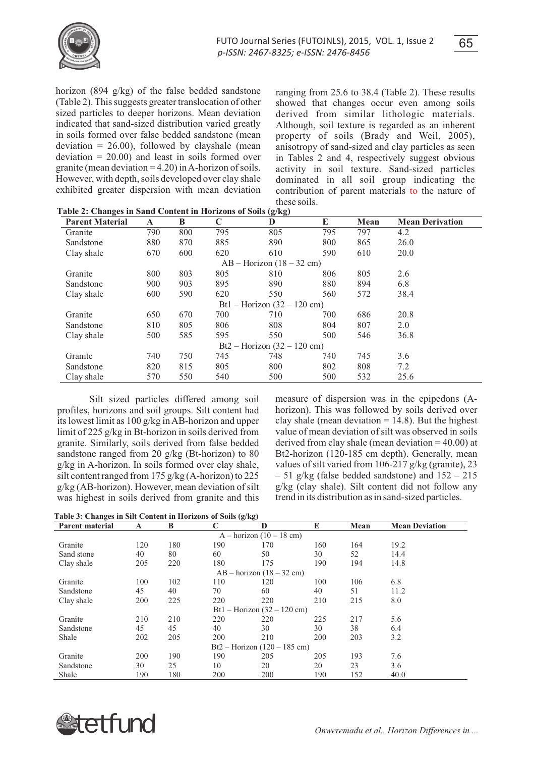

horizon (894 g/kg) of the false bedded sandstone (Table 2). This suggests greater translocation of other sized particles to deeper horizons. Mean deviation indicated that sand-sized distribution varied greatly in soils formed over false bedded sandstone (mean deviation  $= 26.00$ ), followed by clayshale (mean deviation  $= 20.00$  and least in soils formed over granite (mean deviation  $=$  4.20) in A-horizon of soils. However, with depth, soils developed over clay shale exhibited greater dispersion with mean deviation

ranging from 25.6 to 38.4 (Table 2). These results showed that changes occur even among soils derived from similar lithologic materials. Although, soil texture is regarded as an inherent property of soils (Brady and Weil, 2005), anisotropy of sand-sized and clay particles as seen in Tables 2 and 4, respectively suggest obvious activity in soil texture. Sand-sized particles dominated in all soil group indicating the contribution of parent materials to the nature of these soils.

| <b>Parent Material</b> | A   | B   | $\mathbf C$ | D                             | E   | Mean | <b>Mean Derivation</b> |
|------------------------|-----|-----|-------------|-------------------------------|-----|------|------------------------|
| Granite                | 790 | 800 | 795         | 805                           | 795 | 797  | 4.2                    |
| Sandstone              | 880 | 870 | 885         | 890                           | 800 | 865  | 26.0                   |
| Clay shale             | 670 | 600 | 620         | 610                           | 590 | 610  | 20.0                   |
|                        |     |     |             | $AB - Horizon (18 - 32 cm)$   |     |      |                        |
| Granite                | 800 | 803 | 805         | 810                           | 806 | 805  | 2.6                    |
| Sandstone              | 900 | 903 | 895         | 890                           | 880 | 894  | 6.8                    |
| Clay shale             | 600 | 590 | 620         | 550                           | 560 | 572  | 38.4                   |
|                        |     |     |             | Bt1 – Horizon $(32 – 120$ cm) |     |      |                        |
| Granite                | 650 | 670 | 700         | 710                           | 700 | 686  | 20.8                   |
| Sandstone              | 810 | 805 | 806         | 808                           | 804 | 807  | 2.0                    |
| Clay shale             | 500 | 585 | 595         | 550                           | 500 | 546  | 36.8                   |
|                        |     |     |             | Bt2 – Horizon $(32 – 120$ cm) |     |      |                        |
| Granite                | 740 | 750 | 745         | 748                           | 740 | 745  | 3.6                    |
| Sandstone              | 820 | 815 | 805         | 800                           | 802 | 808  | 7.2                    |
| Clay shale             | 570 | 550 | 540         | 500                           | 500 | 532  | 25.6                   |

|  | Table 2: Changes in Sand Content in Horizons of Soils (g/kg) |  |
|--|--------------------------------------------------------------|--|
|--|--------------------------------------------------------------|--|

Silt sized particles differed among soil profiles, horizons and soil groups. Silt content had its lowest limit as 100 g/kg in AB-horizon and upper limit of 225 g/kg in Bt-horizon in soils derived from granite. Similarly, soils derived from false bedded sandstone ranged from 20 g/kg (Bt-horizon) to 80 g/kg in A-horizon. In soils formed over clay shale, silt content ranged from 175 g/kg (A-horizon) to 225 g/kg (AB-horizon). However, mean deviation of silt was highest in soils derived from granite and this

measure of dispersion was in the epipedons (Ahorizon). This was followed by soils derived over clay shale (mean deviation  $= 14.8$ ). But the highest value of mean deviation of silt was observed in soils derived from clay shale (mean deviation = 40.00) at Bt2-horizon (120-185 cm depth). Generally, mean values of silt varied from 106-217 g/kg (granite), 23  $-51$  g/kg (false bedded sandstone) and  $152 - 215$ g/kg (clay shale). Silt content did not follow any trend in its distribution as in sand-sized particles.

**Table 3: Changes in Silt Content in Horizons of Soils (g/kg)**

| <b>Parent material</b>         | A   | B   | C   | D                             | E   | Mean | <b>Mean Deviation</b> |  |  |
|--------------------------------|-----|-----|-----|-------------------------------|-----|------|-----------------------|--|--|
| $A - horizon (10 - 18 cm)$     |     |     |     |                               |     |      |                       |  |  |
| Granite                        | 120 | 180 | 190 | 170                           | 160 | 164  | 19.2                  |  |  |
| Sand stone                     | 40  | 80  | 60  | 50                            | 30  | 52   | 14.4                  |  |  |
| Clay shale                     | 205 | 220 | 180 | 175                           | 190 | 194  | 14.8                  |  |  |
|                                |     |     |     | $AB - horizon (18 - 32 cm)$   |     |      |                       |  |  |
| Granite                        | 100 | 102 | 110 | 120                           | 100 | 106  | 6.8                   |  |  |
| Sandstone                      | 45  | 40  | 70  | 60                            | 40  | 51   | 11.2                  |  |  |
| Clay shale                     | 200 | 225 | 220 | 220                           | 210 | 215  | 8.0                   |  |  |
|                                |     |     |     | Bt1 – Horizon $(32 – 120$ cm) |     |      |                       |  |  |
| Granite                        | 210 | 210 | 220 | 220                           | 225 | 217  | 5.6                   |  |  |
| Sandstone                      | 45  | 45  | 40  | 30                            | 30  | 38   | 6.4                   |  |  |
| Shale                          | 202 | 205 | 200 | 210                           | 200 | 203  | 3.2                   |  |  |
| $Bt2 - Horizon (120 - 185 cm)$ |     |     |     |                               |     |      |                       |  |  |
| Granite                        | 200 | 190 | 190 | 205                           | 205 | 193  | 7.6                   |  |  |
| Sandstone                      | 30  | 25  | 10  | 20                            | 20  | 23   | 3.6                   |  |  |
| Shale                          | 190 | 180 | 200 | 200                           | 190 | 152  | 40.0                  |  |  |

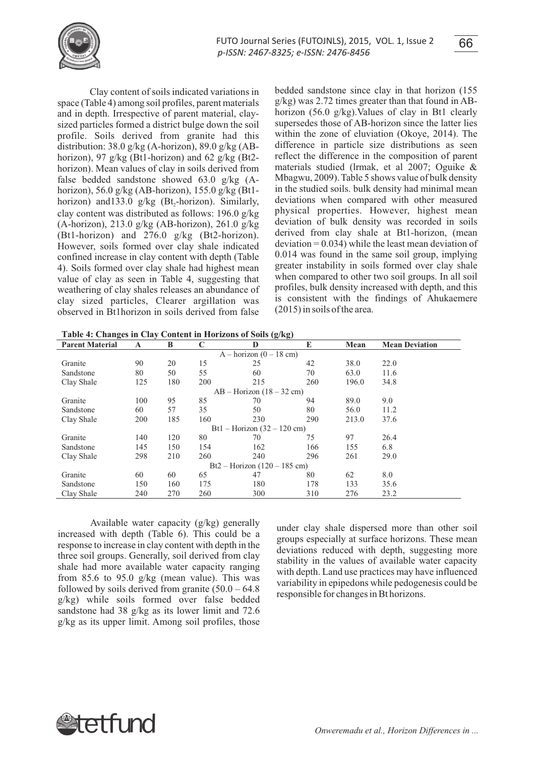

Clay content of soils indicated variations in space (Table 4) among soil profiles, parent materials and in depth. Irrespective of parent material, claysized particles formed a district bulge down the soil profile. Soils derived from granite had this distribution:  $38.0 \frac{\mathrm{g}}{\mathrm{kg}}$  (A-horizon),  $89.0 \frac{\mathrm{g}}{\mathrm{kg}}$  (ABhorizon), 97 g/kg (Bt1-horizon) and 62 g/kg (Bt2 horizon). Mean values of clay in soils derived from false bedded sandstone showed 63.0 g/kg (Ahorizon), 56.0 g/kg (AB-horizon), 155.0 g/kg (Bt1 horizon) and 133.0 g/kg (Bt,-horizon). Similarly, clay content was distributed as follows: 196.0 g/kg (A-horizon), 213.0 g/kg (AB-horizon), 261.0 g/kg (Bt1-horizon) and 276.0 g/kg (Bt2-horizon). However, soils formed over clay shale indicated confined increase in clay content with depth (Table 4). Soils formed over clay shale had highest mean value of clay as seen in Table 4, suggesting that weathering of clay shales releases an abundance of clay sized particles, Clearer argillation was observed in Bt1horizon in soils derived from false bedded sandstone since clay in that horizon (155 g/kg) was 2.72 times greater than that found in ABhorizon (56.0 g/kg).Values of clay in Bt1 clearly supersedes those of AB-horizon since the latter lies within the zone of eluviation (Okoye, 2014). The difference in particle size distributions as seen reflect the difference in the composition of parent materials studied (lrmak, et al 2007; Oguike & Mbagwu, 2009). Table 5 shows value of bulk density in the studied soils. bulk density had minimal mean deviations when compared with other measured physical properties. However, highest mean deviation of bulk density was recorded in soils derived from clay shale at Bt1-horizon, (mean  $deviation = 0.034$ ) while the least mean deviation of 0.014 was found in the same soil group, implying greater instability in soils formed over clay shale when compared to other two soil groups. In all soil profiles, bulk density increased with depth, and this is consistent with the findings of Ahukaemere (2015) in soils of the area.

**Table 4: Changes in Clay Content in Horizons of Soils (g/kg)**

| <b>Parent Material</b>         | A   | B   | C   | D                             | E   | Mean  | <b>Mean Deviation</b> |  |  |
|--------------------------------|-----|-----|-----|-------------------------------|-----|-------|-----------------------|--|--|
| $A - horizon (0 - 18 cm)$      |     |     |     |                               |     |       |                       |  |  |
| Granite                        | 90  | 20  | 15  | 25                            | 42  | 38.0  | 22.0                  |  |  |
| Sandstone                      | 80  | 50  | 55  | 60                            | 70  | 63.0  | 11.6                  |  |  |
| Clay Shale                     | 125 | 180 | 200 | 215                           | 260 | 196.0 | 34.8                  |  |  |
|                                |     |     |     | $AB - Horizon (18 - 32 cm)$   |     |       |                       |  |  |
| Granite                        | 100 | 95  | 85  | 70                            | 94  | 89.0  | 9.0                   |  |  |
| Sandstone                      | 60  | 57  | 35  | 50                            | 80  | 56.0  | 11.2                  |  |  |
| Clay Shale                     | 200 | 185 | 160 | 230                           | 290 | 213.0 | 37.6                  |  |  |
|                                |     |     |     | Bt1 – Horizon $(32 – 120$ cm) |     |       |                       |  |  |
| Granite                        | 140 | 120 | 80  | 70                            | 75  | 97    | 26.4                  |  |  |
| Sandstone                      | 145 | 150 | 154 | 162                           | 166 | 155   | 6.8                   |  |  |
| Clay Shale                     | 298 | 210 | 260 | 240                           | 296 | 261   | 29.0                  |  |  |
| $Bt2 - Horizon (120 - 185 cm)$ |     |     |     |                               |     |       |                       |  |  |
| Granite                        | 60  | 60  | 65  | 47                            | 80  | 62    | 8.0                   |  |  |
| Sandstone                      | 150 | 160 | 175 | 180                           | 178 | 133   | 35.6                  |  |  |
| Clay Shale                     | 240 | 270 | 260 | 300                           | 310 | 276   | 23.2                  |  |  |

Available water capacity (g/kg) generally increased with depth (Table 6). This could be a response to increase in clay content with depth in the three soil groups. Generally, soil derived from clay shale had more available water capacity ranging from 85.6 to 95.0 g/kg (mean value). This was followed by soils derived from granite  $(50.0 - 64.8)$ g/kg) while soils formed over false bedded sandstone had 38 g/kg as its lower limit and 72.6 g/kg as its upper limit. Among soil profiles, those

under clay shale dispersed more than other soil groups especially at surface horizons. These mean deviations reduced with depth, suggesting more stability in the values of available water capacity with depth. Land use practices may have influenced variability in epipedons while pedogenesis could be responsible for changes in Bt horizons.

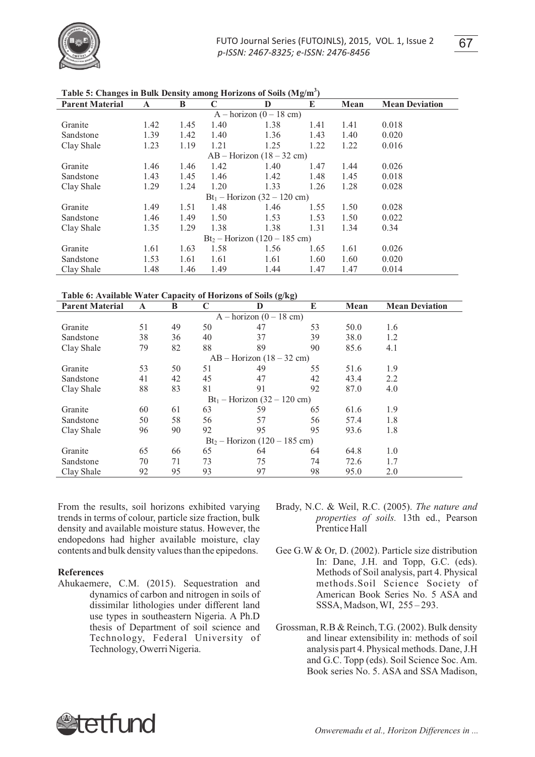

| <b>Parent Material</b>          | A    | B    | C                              | D    | E    | Mean | <b>Mean Deviation</b> |  |  |
|---------------------------------|------|------|--------------------------------|------|------|------|-----------------------|--|--|
| $A - horizon (0 - 18 cm)$       |      |      |                                |      |      |      |                       |  |  |
| Granite                         | 1.42 | 1.45 | 1.40                           | 1.38 | 1.41 | 1.41 | 0.018                 |  |  |
| Sandstone                       | 1.39 | 1.42 | 1.40                           | 1.36 | 1.43 | 1.40 | 0.020                 |  |  |
| Clay Shale                      | 1.23 | 1.19 | 1.21                           | 1.25 | 1.22 | 1.22 | 0.016                 |  |  |
|                                 |      |      | $AB - Horizon (18 - 32 cm)$    |      |      |      |                       |  |  |
| Granite                         | 1.46 | 1.46 | 1.42                           | 1.40 | 1.47 | 1.44 | 0.026                 |  |  |
| Sandstone                       | 1.43 | 1.45 | 1.46                           | 1.42 | 1.48 | 1.45 | 0.018                 |  |  |
| Clay Shale                      | 1.29 | 1.24 | 1.20                           | 1.33 | 1.26 | 1.28 | 0.028                 |  |  |
|                                 |      |      | $Bt_1$ – Horizon (32 – 120 cm) |      |      |      |                       |  |  |
| Granite                         | 1.49 | 1.51 | 1.48                           | 1.46 | 1.55 | 1.50 | 0.028                 |  |  |
| Sandstone                       | 1.46 | 1.49 | 1.50                           | 1.53 | 1.53 | 1.50 | 0.022                 |  |  |
| Clay Shale                      | 1.35 | 1.29 | 1.38                           | 1.38 | 1.31 | 1.34 | 0.34                  |  |  |
| $Bt_2 - Horizon (120 - 185 cm)$ |      |      |                                |      |      |      |                       |  |  |
| Granite                         | 1.61 | 1.63 | 1.58                           | 1.56 | 1.65 | 1.61 | 0.026                 |  |  |
| Sandstone                       | 1.53 | 1.61 | 1.61                           | 1.61 | 1.60 | 1.60 | 0.020                 |  |  |
| Clay Shale                      | 1.48 | 1.46 | 1.49                           | 1.44 | 1.47 | 1.47 | 0.014                 |  |  |

**Table 5: Changes in Bulk Density among Horizons of Soils (Mg/m<sup>3</sup> )**

## **Table 6: Available Water Capacity of Horizons of Soils (g/kg)**

| <b>Parent Material</b>          | A  | B  | C  | $\overline{c}$<br>$\sigma$<br>D | E  | Mean | <b>Mean Deviation</b> |  |  |  |
|---------------------------------|----|----|----|---------------------------------|----|------|-----------------------|--|--|--|
| $A - horizon (0 - 18 cm)$       |    |    |    |                                 |    |      |                       |  |  |  |
| Granite                         | 51 | 49 | 50 | 47                              | 53 | 50.0 | 1.6                   |  |  |  |
| Sandstone                       | 38 | 36 | 40 | 37                              | 39 | 38.0 | 1.2                   |  |  |  |
| Clay Shale                      | 79 | 82 | 88 | 89                              | 90 | 85.6 | 4.1                   |  |  |  |
| $AB - Horizon (18 - 32 cm)$     |    |    |    |                                 |    |      |                       |  |  |  |
| Granite                         | 53 | 50 | 51 | 49                              | 55 | 51.6 | 1.9                   |  |  |  |
| Sandstone                       | 41 | 42 | 45 | 47                              | 42 | 43.4 | 2.2                   |  |  |  |
| Clay Shale                      | 88 | 83 | 81 | 91                              | 92 | 87.0 | 4.0                   |  |  |  |
|                                 |    |    |    | $Bt_1 -$ Horizon (32 – 120 cm)  |    |      |                       |  |  |  |
| Granite                         | 60 | 61 | 63 | 59                              | 65 | 61.6 | 1.9                   |  |  |  |
| Sandstone                       | 50 | 58 | 56 | 57                              | 56 | 57.4 | 1.8                   |  |  |  |
| Clay Shale                      | 96 | 90 | 92 | 95                              | 95 | 93.6 | 1.8                   |  |  |  |
| $Bt_2 - Horizon (120 - 185 cm)$ |    |    |    |                                 |    |      |                       |  |  |  |
| Granite                         | 65 | 66 | 65 | 64                              | 64 | 64.8 | 1.0                   |  |  |  |
| Sandstone                       | 70 | 71 | 73 | 75                              | 74 | 72.6 | 1.7                   |  |  |  |
| Clay Shale                      | 92 | 95 | 93 | 97                              | 98 | 95.0 | 2.0                   |  |  |  |

From the results, soil horizons exhibited varying trends in terms of colour, particle size fraction, bulk density and available moisture status. However, the endopedons had higher available moisture, clay contents and bulk density values than the epipedons.

## **References**

- Ahukaemere, C.M. (2015). Sequestration and dynamics of carbon and nitrogen in soils of dissimilar lithologies under different land use types in southeastern Nigeria. A Ph.D thesis of Department of soil science and Technology, Federal University of Technology, Owerri Nigeria.
- Brady, N.C. & Weil, R.C. (2005). *The nature and properties of soils.* 13th ed., Pearson Prentice Hall
- Gee G.W & Or, D. (2002). Particle size distribution In: Dane, J.H. and Topp, G.C. (eds). Methods of Soil analysis, part 4. Physical methods.Soil Science Society of American Book Series No. 5 ASA and SSSA, Madson, WI, 255 – 293.
- Grossman, R.B & Reinch, T.G. (2002). Bulk density and linear extensibility in: methods of soil analysis part 4. Physical methods. Dane, J.H and G.C. Topp (eds). Soil Science Soc. Am. Book series No. 5. ASA and SSA Madison,